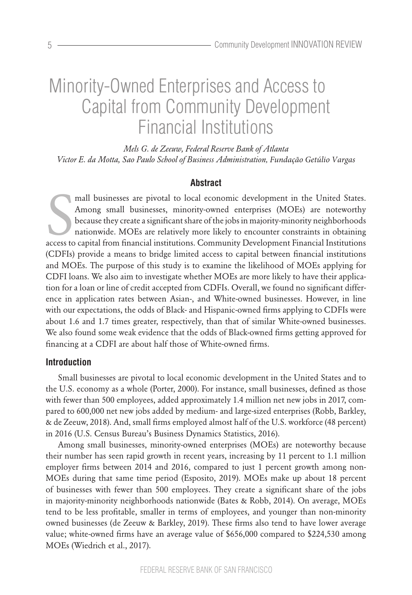# Minority-Owned Enterprises and Access to Capital from Community Development Financial Institutions

*Mels G. de Zeeuw, Federal Reserve Bank of Atlanta Victor E. da Motta, Sao Paulo School of Business Administration, Fundação Getúlio Vargas*

## **Abstract**

mall businesses are pivotal to local economic development in the United States.<br>Among small businesses, minority-owned enterprises (MOEs) are noteworthy<br>because they create a significant share of the jobs in majority-minor mall businesses are pivotal to local economic development in the United States. Among small businesses, minority-owned enterprises (MOEs) are noteworthy because they create a significant share of the jobs in majority-minority neighborhoods nationwide. MOEs are relatively more likely to encounter constraints in obtaining (CDFIs) provide a means to bridge limited access to capital between financial institutions and MOEs. The purpose of this study is to examine the likelihood of MOEs applying for CDFI loans. We also aim to investigate whether MOEs are more likely to have their application for a loan or line of credit accepted from CDFIs. Overall, we found no significant difference in application rates between Asian-, and White-owned businesses. However, in line with our expectations, the odds of Black- and Hispanic-owned firms applying to CDFIs were about 1.6 and 1.7 times greater, respectively, than that of similar White-owned businesses. We also found some weak evidence that the odds of Black-owned firms getting approved for financing at a CDFI are about half those of White-owned firms.

## **Introduction**

Small businesses are pivotal to local economic development in the United States and to the U.S. economy as a whole (Porter, 2000). For instance, small businesses, defined as those with fewer than 500 employees, added approximately 1.4 million net new jobs in 2017, compared to 600,000 net new jobs added by medium- and large-sized enterprises (Robb, Barkley, & de Zeeuw, 2018). And, small firms employed almost half of the U.S. workforce (48 percent) in 2016 (U.S. Census Bureau's Business Dynamics Statistics, 2016).

Among small businesses, minority-owned enterprises (MOEs) are noteworthy because their number has seen rapid growth in recent years, increasing by 11 percent to 1.1 million employer firms between 2014 and 2016, compared to just 1 percent growth among non-MOEs during that same time period (Esposito, 2019). MOEs make up about 18 percent of businesses with fewer than 500 employees. They create a significant share of the jobs in majority-minority neighborhoods nationwide (Bates & Robb, 2014). On average, MOEs tend to be less profitable, smaller in terms of employees, and younger than non-minority owned businesses (de Zeeuw & Barkley, 2019). These firms also tend to have lower average value; white-owned firms have an average value of \$656,000 compared to \$224,530 among MOEs (Wiedrich et al., 2017).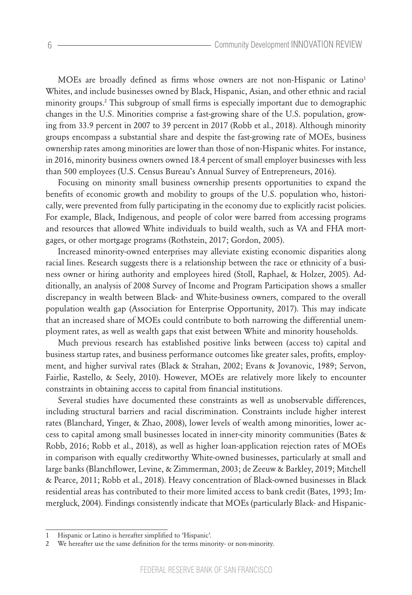MOEs are broadly defined as firms whose owners are not non-Hispanic or Latino<sup>1</sup> Whites, and include businesses owned by Black, Hispanic, Asian, and other ethnic and racial minority groups.2 This subgroup of small firms is especially important due to demographic changes in the U.S. Minorities comprise a fast-growing share of the U.S. population, growing from 33.9 percent in 2007 to 39 percent in 2017 (Robb et al., 2018). Although minority groups encompass a substantial share and despite the fast-growing rate of MOEs, business ownership rates among minorities are lower than those of non-Hispanic whites. For instance, in 2016, minority business owners owned 18.4 percent of small employer businesses with less than 500 employees (U.S. Census Bureau's Annual Survey of Entrepreneurs, 2016).

Focusing on minority small business ownership presents opportunities to expand the benefits of economic growth and mobility to groups of the U.S. population who, historically, were prevented from fully participating in the economy due to explicitly racist policies. For example, Black, Indigenous, and people of color were barred from accessing programs and resources that allowed White individuals to build wealth, such as VA and FHA mortgages, or other mortgage programs (Rothstein, 2017; Gordon, 2005).

Increased minority-owned enterprises may alleviate existing economic disparities along racial lines. Research suggests there is a relationship between the race or ethnicity of a business owner or hiring authority and employees hired (Stoll, Raphael, & Holzer, 2005). Additionally, an analysis of 2008 Survey of Income and Program Participation shows a smaller discrepancy in wealth between Black- and White-business owners, compared to the overall population wealth gap (Association for Enterprise Opportunity, 2017). This may indicate that an increased share of MOEs could contribute to both narrowing the differential unemployment rates, as well as wealth gaps that exist between White and minority households.

Much previous research has established positive links between (access to) capital and business startup rates, and business performance outcomes like greater sales, profits, employment, and higher survival rates (Black & Strahan, 2002; Evans & Jovanovic, 1989; Servon, Fairlie, Rastello, & Seely, 2010). However, MOEs are relatively more likely to encounter constraints in obtaining access to capital from financial institutions.

Several studies have documented these constraints as well as unobservable differences, including structural barriers and racial discrimination. Constraints include higher interest rates (Blanchard, Yinger, & Zhao, 2008), lower levels of wealth among minorities, lower access to capital among small businesses located in inner-city minority communities (Bates & Robb, 2016; Robb et al., 2018), as well as higher loan-application rejection rates of MOEs in comparison with equally creditworthy White-owned businesses, particularly at small and large banks (Blanchflower, Levine, & Zimmerman, 2003; de Zeeuw & Barkley, 2019; Mitchell & Pearce, 2011; Robb et al., 2018). Heavy concentration of Black-owned businesses in Black residential areas has contributed to their more limited access to bank credit (Bates, 1993; Immergluck, 2004). Findings consistently indicate that MOEs (particularly Black- and Hispanic-

6

<sup>1</sup> Hispanic or Latino is hereafter simplified to 'Hispanic'.

<sup>2</sup> We hereafter use the same definition for the terms minority- or non-minority.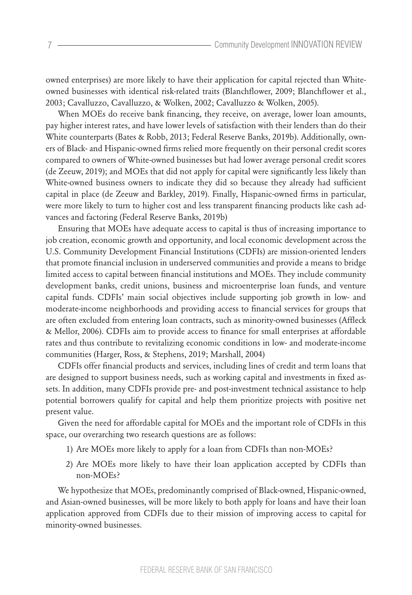owned enterprises) are more likely to have their application for capital rejected than Whiteowned businesses with identical risk-related traits (Blanchflower, 2009; Blanchflower et al., 2003; Cavalluzzo, Cavalluzzo, & Wolken, 2002; Cavalluzzo & Wolken, 2005).

When MOEs do receive bank financing, they receive, on average, lower loan amounts, pay higher interest rates, and have lower levels of satisfaction with their lenders than do their White counterparts (Bates & Robb, 2013; Federal Reserve Banks, 2019b). Additionally, owners of Black- and Hispanic-owned firms relied more frequently on their personal credit scores compared to owners of White-owned businesses but had lower average personal credit scores (de Zeeuw, 2019); and MOEs that did not apply for capital were significantly less likely than White-owned business owners to indicate they did so because they already had sufficient capital in place (de Zeeuw and Barkley, 2019). Finally, Hispanic-owned firms in particular, were more likely to turn to higher cost and less transparent financing products like cash advances and factoring (Federal Reserve Banks, 2019b)

Ensuring that MOEs have adequate access to capital is thus of increasing importance to job creation, economic growth and opportunity, and local economic development across the U.S. Community Development Financial Institutions (CDFIs) are mission-oriented lenders that promote financial inclusion in underserved communities and provide a means to bridge limited access to capital between financial institutions and MOEs. They include community development banks, credit unions, business and microenterprise loan funds, and venture capital funds. CDFIs' main social objectives include supporting job growth in low- and moderate-income neighborhoods and providing access to financial services for groups that are often excluded from entering loan contracts, such as minority-owned businesses (Affleck & Mellor, 2006). CDFIs aim to provide access to finance for small enterprises at affordable rates and thus contribute to revitalizing economic conditions in low- and moderate-income communities (Harger, Ross, & Stephens, 2019; Marshall, 2004)

CDFIs offer financial products and services, including lines of credit and term loans that are designed to support business needs, such as working capital and investments in fixed assets. In addition, many CDFIs provide pre- and post-investment technical assistance to help potential borrowers qualify for capital and help them prioritize projects with positive net present value.

Given the need for affordable capital for MOEs and the important role of CDFIs in this space, our overarching two research questions are as follows:

- 1) Are MOEs more likely to apply for a loan from CDFIs than non-MOEs?
- 2) Are MOEs more likely to have their loan application accepted by CDFIs than non-MOEs?

We hypothesize that MOEs, predominantly comprised of Black-owned, Hispanic-owned, and Asian-owned businesses, will be more likely to both apply for loans and have their loan application approved from CDFIs due to their mission of improving access to capital for minority-owned businesses.

7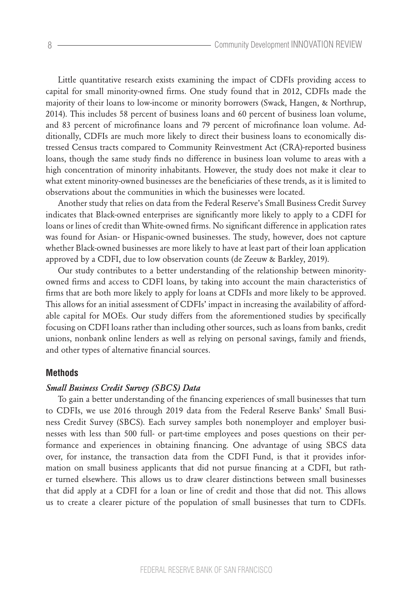Little quantitative research exists examining the impact of CDFIs providing access to capital for small minority-owned firms. One study found that in 2012, CDFIs made the majority of their loans to low-income or minority borrowers (Swack, Hangen, & Northrup, 2014). This includes 58 percent of business loans and 60 percent of business loan volume, and 83 percent of microfinance loans and 79 percent of microfinance loan volume. Additionally, CDFIs are much more likely to direct their business loans to economically distressed Census tracts compared to Community Reinvestment Act (CRA)-reported business loans, though the same study finds no difference in business loan volume to areas with a high concentration of minority inhabitants. However, the study does not make it clear to what extent minority-owned businesses are the beneficiaries of these trends, as it is limited to observations about the communities in which the businesses were located.

Another study that relies on data from the Federal Reserve's Small Business Credit Survey indicates that Black-owned enterprises are significantly more likely to apply to a CDFI for loans or lines of credit than White-owned firms. No significant difference in application rates was found for Asian- or Hispanic-owned businesses. The study, however, does not capture whether Black-owned businesses are more likely to have at least part of their loan application approved by a CDFI, due to low observation counts (de Zeeuw & Barkley, 2019).

Our study contributes to a better understanding of the relationship between minorityowned firms and access to CDFI loans, by taking into account the main characteristics of firms that are both more likely to apply for loans at CDFIs and more likely to be approved. This allows for an initial assessment of CDFIs' impact in increasing the availability of affordable capital for MOEs. Our study differs from the aforementioned studies by specifically focusing on CDFI loans rather than including other sources, such as loans from banks, credit unions, nonbank online lenders as well as relying on personal savings, family and friends, and other types of alternative financial sources.

#### **Methods**

### *Small Business Credit Survey (SBCS) Data*

To gain a better understanding of the financing experiences of small businesses that turn to CDFIs, we use 2016 through 2019 data from the Federal Reserve Banks' Small Business Credit Survey (SBCS). Each survey samples both nonemployer and employer businesses with less than 500 full- or part-time employees and poses questions on their performance and experiences in obtaining financing. One advantage of using SBCS data over, for instance, the transaction data from the CDFI Fund, is that it provides information on small business applicants that did not pursue financing at a CDFI, but rather turned elsewhere. This allows us to draw clearer distinctions between small businesses that did apply at a CDFI for a loan or line of credit and those that did not. This allows us to create a clearer picture of the population of small businesses that turn to CDFIs.

8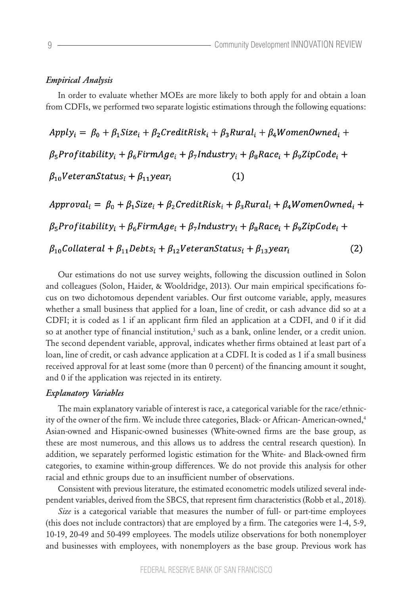#### *Empirical Analysis*

In order to evaluate whether MOEs are more likely to both apply for and obtain a loan from CDFIs, we performed two separate logistic estimations through the following equations:

 $Apply_i = \beta_0 + \beta_1 Size_i + \beta_2 CreditRisk_i + \beta_3 Rural_i + \beta_4 WomenOWned_i +$  $\beta_5$ Profitability<sub>i</sub> +  $\beta_6$ FirmAge<sub>i</sub> +  $\beta_7$ Industry<sub>i</sub> +  $\beta_8$ Race<sub>i</sub> +  $\beta_9$ ZipCode<sub>i</sub> +  $\beta_{10}$ VeteranStatus<sub>i</sub> +  $\beta_{11}$ year<sub>i</sub>  $(1)$ 

 $Approval_i = \beta_0 + \beta_1 Size_i + \beta_2 CreditRisk_i + \beta_3 Rural_i + \beta_4 WomenOwned_i +$  $\beta_5$ Profitability<sub>i</sub> +  $\beta_6$ FirmAge<sub>i</sub> +  $\beta_7$ Industry<sub>i</sub> +  $\beta_8$ Race<sub>i</sub> +  $\beta_9$ ZipCode<sub>i</sub> +  $\beta_{10}$ Collateral +  $\beta_{11}$ Debts<sub>i</sub> +  $\beta_{12}$ VeteranStatus<sub>i</sub> +  $\beta_{13}$ year<sub>i</sub>  $(2)$ 

Our estimations do not use survey weights, following the discussion outlined in Solon and colleagues (Solon, Haider, & Wooldridge, 2013). Our main empirical specifications focus on two dichotomous dependent variables. Our first outcome variable, apply, measures whether a small business that applied for a loan, line of credit, or cash advance did so at a CDFI; it is coded as 1 if an applicant firm filed an application at a CDFI, and 0 if it did so at another type of financial institution,<sup>3</sup> such as a bank, online lender, or a credit union. The second dependent variable, approval, indicates whether firms obtained at least part of a loan, line of credit, or cash advance application at a CDFI. It is coded as 1 if a small business received approval for at least some (more than 0 percent) of the financing amount it sought, and 0 if the application was rejected in its entirety.

## *Explanatory Variables*

The main explanatory variable of interest is race, a categorical variable for the race/ethnicity of the owner of the firm. We include three categories, Black- or African-American-owned,<sup>4</sup> Asian-owned and Hispanic-owned businesses (White-owned firms are the base group, as these are most numerous, and this allows us to address the central research question). In addition, we separately performed logistic estimation for the White- and Black-owned firm categories, to examine within-group differences. We do not provide this analysis for other racial and ethnic groups due to an insufficient number of observations.

Consistent with previous literature, the estimated econometric models utilized several independent variables, derived from the SBCS, that represent firm characteristics (Robb et al., 2018).

*Size* is a categorical variable that measures the number of full- or part-time employees (this does not include contractors) that are employed by a firm. The categories were 1-4, 5-9, 10-19, 20-49 and 50-499 employees. The models utilize observations for both nonemployer and businesses with employees, with nonemployers as the base group. Previous work has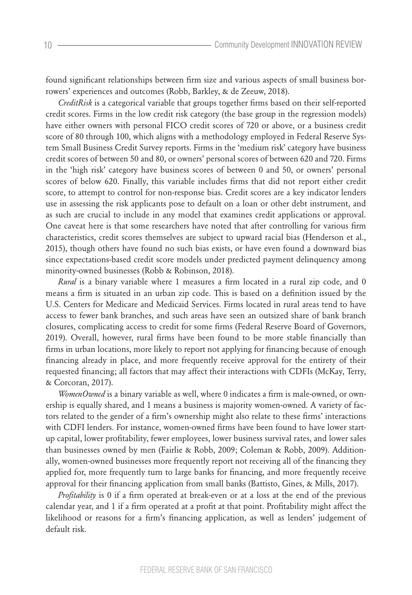found significant relationships between firm size and various aspects of small business borrowers' experiences and outcomes (Robb, Barkley, & de Zeeuw, 2018).

*CreditRisk* is a categorical variable that groups together firms based on their self-reported credit scores. Firms in the low credit risk category (the base group in the regression models) have either owners with personal FICO credit scores of 720 or above, or a business credit score of 80 through 100, which aligns with a methodology employed in Federal Reserve System Small Business Credit Survey reports. Firms in the 'medium risk' category have business credit scores of between 50 and 80, or owners' personal scores of between 620 and 720. Firms in the 'high risk' category have business scores of between 0 and 50, or owners' personal scores of below 620. Finally, this variable includes firms that did not report either credit score, to attempt to control for non-response bias. Credit scores are a key indicator lenders use in assessing the risk applicants pose to default on a loan or other debt instrument, and as such are crucial to include in any model that examines credit applications or approval. One caveat here is that some researchers have noted that after controlling for various firm characteristics, credit scores themselves are subject to upward racial bias (Henderson et al., 2015), though others have found no such bias exists, or have even found a downward bias since expectations-based credit score models under predicted payment delinquency among minority-owned businesses (Robb & Robinson, 2018).

*Rural* is a binary variable where 1 measures a firm located in a rural zip code, and 0 means a firm is situated in an urban zip code. This is based on a definition issued by the U.S. Centers for Medicare and Medicaid Services. Firms located in rural areas tend to have access to fewer bank branches, and such areas have seen an outsized share of bank branch closures, complicating access to credit for some firms (Federal Reserve Board of Governors, 2019). Overall, however, rural firms have been found to be more stable financially than firms in urban locations, more likely to report not applying for financing because of enough financing already in place, and more frequently receive approval for the entirety of their requested financing; all factors that may affect their interactions with CDFIs (McKay, Terry, & Corcoran, 2017).

*WomenOwned* is a binary variable as well, where 0 indicates a firm is male-owned, or ownership is equally shared, and 1 means a business is majority women-owned. A variety of factors related to the gender of a firm's ownership might also relate to these firms' interactions with CDFI lenders. For instance, women-owned firms have been found to have lower startup capital, lower profitability, fewer employees, lower business survival rates, and lower sales than businesses owned by men (Fairlie & Robb, 2009; Coleman & Robb, 2009). Additionally, women-owned businesses more frequently report not receiving all of the financing they applied for, more frequently turn to large banks for financing, and more frequently receive approval for their financing application from small banks (Battisto, Gines, & Mills, 2017).

*Profitability* is 0 if a firm operated at break-even or at a loss at the end of the previous calendar year, and 1 if a firm operated at a profit at that point. Profitability might affect the likelihood or reasons for a firm's financing application, as well as lenders' judgement of default risk.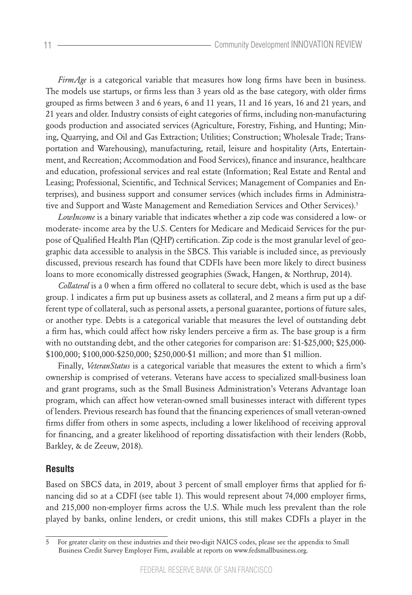*FirmAge* is a categorical variable that measures how long firms have been in business. The models use startups, or firms less than 3 years old as the base category, with older firms grouped as firms between 3 and 6 years, 6 and 11 years, 11 and 16 years, 16 and 21 years, and 21 years and older. Industry consists of eight categories of firms, including non-manufacturing goods production and associated services (Agriculture, Forestry, Fishing, and Hunting; Mining, Quarrying, and Oil and Gas Extraction; Utilities; Construction; Wholesale Trade; Transportation and Warehousing), manufacturing, retail, leisure and hospitality (Arts, Entertainment, and Recreation; Accommodation and Food Services), finance and insurance, healthcare and education, professional services and real estate (Information; Real Estate and Rental and Leasing; Professional, Scientific, and Technical Services; Management of Companies and Enterprises), and business support and consumer services (which includes firms in Administrative and Support and Waste Management and Remediation Services and Other Services).<sup>5</sup>

*LowIncome* is a binary variable that indicates whether a zip code was considered a low- or moderate- income area by the U.S. Centers for Medicare and Medicaid Services for the purpose of Qualified Health Plan (QHP) certification. Zip code is the most granular level of geographic data accessible to analysis in the SBCS. This variable is included since, as previously discussed, previous research has found that CDFIs have been more likely to direct business loans to more economically distressed geographies (Swack, Hangen, & Northrup, 2014).

*Collateral* is a 0 when a firm offered no collateral to secure debt, which is used as the base group. 1 indicates a firm put up business assets as collateral, and 2 means a firm put up a different type of collateral, such as personal assets, a personal guarantee, portions of future sales, or another type. Debts is a categorical variable that measures the level of outstanding debt a firm has, which could affect how risky lenders perceive a firm as. The base group is a firm with no outstanding debt, and the other categories for comparison are: \$1-\$25,000; \$25,000- \$100,000; \$100,000-\$250,000; \$250,000-\$1 million; and more than \$1 million.

Finally, *VeteranStatus* is a categorical variable that measures the extent to which a firm's ownership is comprised of veterans. Veterans have access to specialized small-business loan and grant programs, such as the Small Business Administration's Veterans Advantage loan program, which can affect how veteran-owned small businesses interact with different types of lenders. Previous research has found that the financing experiences of small veteran-owned firms differ from others in some aspects, including a lower likelihood of receiving approval for financing, and a greater likelihood of reporting dissatisfaction with their lenders (Robb, Barkley, & de Zeeuw, 2018).

## **Results**

Based on SBCS data, in 2019, about 3 percent of small employer firms that applied for financing did so at a CDFI (see table 1). This would represent about 74,000 employer firms, and 215,000 non-employer firms across the U.S. While much less prevalent than the role played by banks, online lenders, or credit unions, this still makes CDFIs a player in the

<sup>5</sup> For greater clarity on these industries and their two-digit NAICS codes, please see the appendix to Small Business Credit Survey Employer Firm, available at reports on www.fedsmallbusiness.org.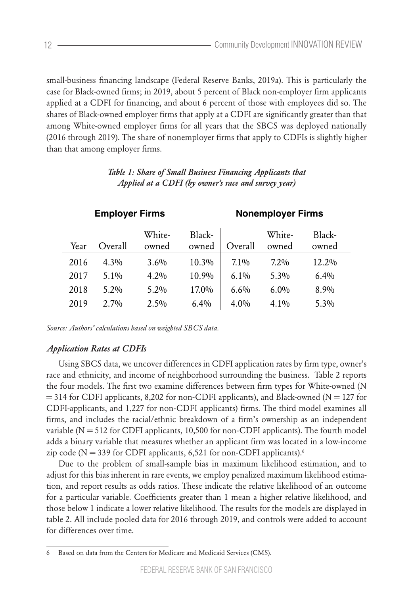small-business financing landscape (Federal Reserve Banks, 2019a). This is particularly the case for Black-owned firms; in 2019, about 5 percent of Black non-employer firm applicants applied at a CDFI for financing, and about 6 percent of those with employees did so. The shares of Black-owned employer firms that apply at a CDFI are significantly greater than that among White-owned employer firms for all years that the SBCS was deployed nationally (2016 through 2019). The share of nonemployer firms that apply to CDFIs is slightly higher than that among employer firms.

| <b>Employer Firms</b> |         |                 | <b>Nonemployer Firms</b> |         |                 |                 |
|-----------------------|---------|-----------------|--------------------------|---------|-----------------|-----------------|
| Year                  | Overall | White-<br>owned | Black-<br>owned          | Overall | White-<br>owned | Black-<br>owned |
| 2016                  | $4.3\%$ | $3.6\%$         | $10.3\%$                 | $7.1\%$ | $7.2\%$         | $12.2\%$        |
| 2017                  | $5.1\%$ | $4.2\%$         | 10.9%                    | $6.1\%$ | $5.3\%$         | $6.4\%$         |
| 2018                  | $5.2\%$ | $5.2\%$         | 17.0%                    | $6.6\%$ | $6.0\%$         | 8.9%            |
| 2019                  | $2.7\%$ | $2.5\%$         | $6.4\%$                  | $4.0\%$ | $4.1\%$         | $5.3\%$         |

# *Table 1: Share of Small Business Financing Applicants that Applied at a CDFI (by owner's race and survey year)*

*Source: Authors' calculations based on weighted SBCS data.*

## *Application Rates at CDFIs*

Using SBCS data, we uncover differences in CDFI application rates by firm type, owner's race and ethnicity, and income of neighborhood surrounding the business. Table 2 reports the four models. The first two examine differences between firm types for White-owned (N  $= 314$  for CDFI applicants, 8,202 for non-CDFI applicants), and Black-owned (N = 127 for CDFI-applicants, and 1,227 for non-CDFI applicants) firms. The third model examines all firms, and includes the racial/ethnic breakdown of a firm's ownership as an independent variable ( $N = 512$  for CDFI applicants, 10,500 for non-CDFI applicants). The fourth model adds a binary variable that measures whether an applicant firm was located in a low-income zip code ( $N = 339$  for CDFI applicants, 6,521 for non-CDFI applicants).<sup>6</sup>

Due to the problem of small-sample bias in maximum likelihood estimation, and to adjust for this bias inherent in rare events, we employ penalized maximum likelihood estimation, and report results as odds ratios. These indicate the relative likelihood of an outcome for a particular variable. Coefficients greater than 1 mean a higher relative likelihood, and those below 1 indicate a lower relative likelihood. The results for the models are displayed in table 2. All include pooled data for 2016 through 2019, and controls were added to account for differences over time.

<sup>6</sup> Based on data from the Centers for Medicare and Medicaid Services (CMS).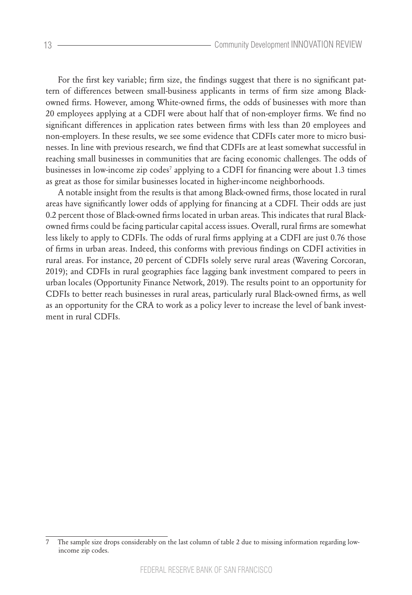For the first key variable; firm size, the findings suggest that there is no significant pattern of differences between small-business applicants in terms of firm size among Blackowned firms. However, among White-owned firms, the odds of businesses with more than 20 employees applying at a CDFI were about half that of non-employer firms. We find no significant differences in application rates between firms with less than 20 employees and non-employers. In these results, we see some evidence that CDFIs cater more to micro businesses. In line with previous research, we find that CDFIs are at least somewhat successful in reaching small businesses in communities that are facing economic challenges. The odds of businesses in low-income zip codes<sup>7</sup> applying to a CDFI for financing were about 1.3 times as great as those for similar businesses located in higher-income neighborhoods.

A notable insight from the results is that among Black-owned firms, those located in rural areas have significantly lower odds of applying for financing at a CDFI. Their odds are just 0.2 percent those of Black-owned firms located in urban areas. This indicates that rural Blackowned firms could be facing particular capital access issues. Overall, rural firms are somewhat less likely to apply to CDFIs. The odds of rural firms applying at a CDFI are just 0.76 those of firms in urban areas. Indeed, this conforms with previous findings on CDFI activities in rural areas. For instance, 20 percent of CDFIs solely serve rural areas (Wavering Corcoran, 2019); and CDFIs in rural geographies face lagging bank investment compared to peers in urban locales (Opportunity Finance Network, 2019). The results point to an opportunity for CDFIs to better reach businesses in rural areas, particularly rural Black-owned firms, as well as an opportunity for the CRA to work as a policy lever to increase the level of bank investment in rural CDFIs.

<sup>7</sup> The sample size drops considerably on the last column of table 2 due to missing information regarding lowincome zip codes.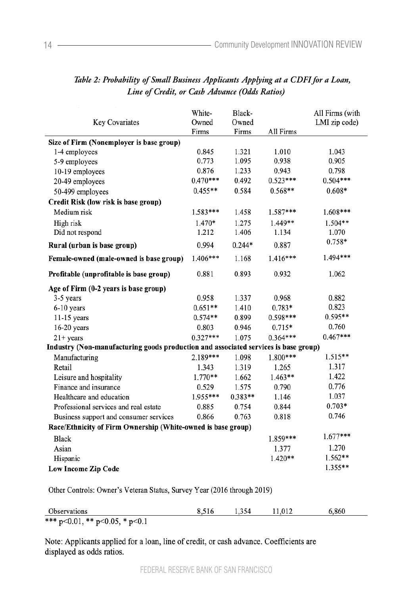| Key Covariates                                                                      | White-<br>Owned<br>Firms | Black-<br>Owned<br>Firms | All Firms  | All Firms (with<br>LMI zip code) |  |  |
|-------------------------------------------------------------------------------------|--------------------------|--------------------------|------------|----------------------------------|--|--|
| Size of Firm (Nonemployer is base group)                                            |                          |                          |            |                                  |  |  |
| 1-4 employees                                                                       | 0.845                    | 1.321                    | 1.010      | 1.043                            |  |  |
| 5-9 employees                                                                       | 0.773                    | 1.095                    | 0.938      | 0.905                            |  |  |
| 10-19 employees                                                                     | 0.876                    | 1.233                    | 0.943      | 0.798                            |  |  |
| 20-49 employees                                                                     | $0.470***$               | 0.492                    | $0.523***$ | $0.504***$                       |  |  |
| 50-499 employees                                                                    | $0.455**$                | 0.584                    | $0.568**$  | $0.608*$                         |  |  |
| Credit Risk (low risk is base group)                                                |                          |                          |            |                                  |  |  |
| Medium risk                                                                         | 1.583***                 | 1.458                    | 1.587***   | $1.608***$                       |  |  |
| High risk                                                                           | 1.470*                   | 1.275                    | 1.449**    | $1.504**$                        |  |  |
| Did not respond                                                                     | 1.212                    | 1.406                    | 1.134      | 1.070                            |  |  |
| Rural (urban is base group)                                                         | 0.994                    | $0.244*$                 | 0.887      | 0.758*                           |  |  |
| Female-owned (male-owned is base group)                                             | $1.406***$               | 1.168                    | $1.416***$ | 1.494 ***                        |  |  |
| Profitable (unprofitable is base group)                                             | 0.881                    | 0.893                    | 0.932      | 1.062                            |  |  |
| Age of Firm (0-2 years is base group)                                               |                          |                          |            |                                  |  |  |
| 3-5 years                                                                           | 0.958                    | 1.337                    | 0.968      | 0.882                            |  |  |
| 6-10 years                                                                          | $0.651**$                | 1.410                    | 0.783*     | 0.823                            |  |  |
| $11-15$ years                                                                       | $0.574**$                | 0.899                    | 0.598***   | $0.595**$                        |  |  |
| $16-20$ years                                                                       | 0.803                    | 0.946                    | $0.715*$   | 0.760                            |  |  |
| $21+ years$                                                                         | $0.327***$               | 1.075                    | $0.364***$ | $0.467***$                       |  |  |
| Industry (Non-manufacturing goods production and associated services is base group) |                          |                          |            |                                  |  |  |
| Manufacturing                                                                       | $2.189***$               | 1.098                    | 1.800***   | 1.515**                          |  |  |
| Retail                                                                              | 1.343                    | 1.319                    | 1.265      | 1.317                            |  |  |
| Leisure and hospitality                                                             | $1.770**$                | 1.662                    | $1.463**$  | 1.422                            |  |  |
| Finance and insurance                                                               | 0.529                    | 1.575                    | 0.790      | 0.776                            |  |  |
| Healthcare and education                                                            | 1.955***                 | $0.383**$                | 1.146      | 1.037                            |  |  |
| Professional services and real estate                                               | 0.885                    | 0.754                    | 0.844      | $0.703*$                         |  |  |
| Business support and consumer services                                              | 0.866                    | 0.763                    | 0.818      | 0.746                            |  |  |
| Race/Ethnicity of Firm Ownership (White-owned is base group)                        |                          |                          |            |                                  |  |  |
| <b>Black</b>                                                                        |                          |                          | 1.859***   | $1.677***$                       |  |  |
| Asian                                                                               |                          |                          | 1.377      | 1.270                            |  |  |
| Hispanic                                                                            |                          |                          | $1.420**$  | $1.562**$                        |  |  |
| <b>Low Income Zip Code</b>                                                          |                          |                          |            | $1.355**$                        |  |  |
|                                                                                     |                          |                          |            |                                  |  |  |

# *Table 2: Probability of Small Business Applicants Applying at a CDFI for a Loan, Line of Credit, or Cash Advance (Odds Ratios)*

Other Controls: Owner's Veteran Status, Survey Year (2016 through 2019)

| Observations                           | 1.354 | 11.012 | 6.860 |
|----------------------------------------|-------|--------|-------|
| *** $p<0.01$ , ** $p<0.05$ , * $p<0.1$ |       |        |       |

Note: Applicants applied for a loan, line of credit, or cash advance. Coefficients are displayed as odds ratios.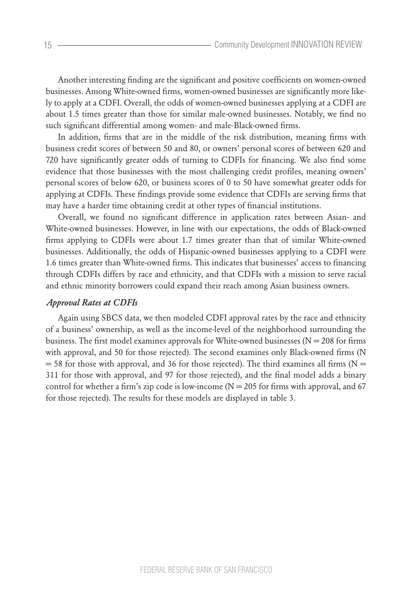Another interesting finding are the significant and positive coefficients on women-owned businesses. Among White-owned firms, women-owned businesses are significantly more likely to apply at a CDFI. Overall, the odds of women-owned businesses applying at a CDFI are about 1.5 times greater than those for similar male-owned businesses. Notably, we find no such significant differential among women- and male-Black-owned firms.

In addition, firms that are in the middle of the risk distribution, meaning firms with business credit scores of between 50 and 80, or owners' personal scores of between 620 and 720 have significantly greater odds of turning to CDFIs for financing. We also find some evidence that those businesses with the most challenging credit profiles, meaning owners' personal scores of below 620, or business scores of 0 to 50 have somewhat greater odds for applying at CDFIs. These findings provide some evidence that CDFIs are serving firms that may have a harder time obtaining credit at other types of financial institutions.

Overall, we found no significant difference in application rates between Asian- and White-owned businesses. However, in line with our expectations, the odds of Black-owned firms applying to CDFIs were about 1.7 times greater than that of similar White-owned businesses. Additionally, the odds of Hispanic-owned businesses applying to a CDFI were 1.6 times greater than White-owned firms. This indicates that businesses' access to financing through CDFIs differs by race and ethnicity, and that CDFIs with a mission to serve racial and ethnic minority borrowers could expand their reach among Asian business owners.

#### *Approval Rates at CDFIs*

Again using SBCS data, we then modeled CDFI approval rates by the race and ethnicity of a business' ownership, as well as the income-level of the neighborhood surrounding the business. The first model examines approvals for White-owned businesses ( $N = 208$  for firms with approval, and 50 for those rejected). The second examines only Black-owned firms (N  $=$  58 for those with approval, and 36 for those rejected). The third examines all firms (N  $=$ 311 for those with approval, and 97 for those rejected), and the final model adds a binary control for whether a firm's zip code is low-income  $(N = 205$  for firms with approval, and 67 for those rejected). The results for these models are displayed in table 3.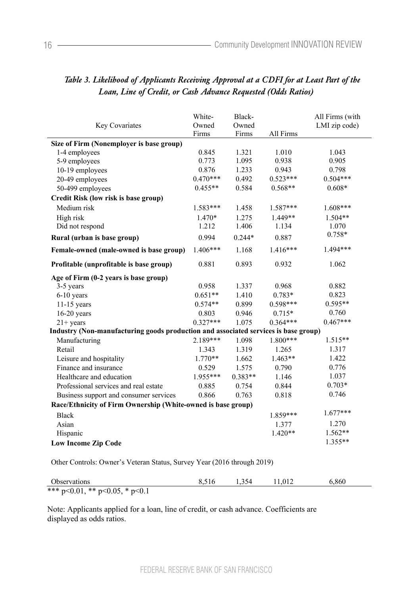|                                                                                     | White-     | Black-    |            | All Firms (with |  |  |  |
|-------------------------------------------------------------------------------------|------------|-----------|------------|-----------------|--|--|--|
| Key Covariates                                                                      | Owned      | Owned     |            | LMI zip code)   |  |  |  |
|                                                                                     | Firms      | Firms     | All Firms  |                 |  |  |  |
| Size of Firm (Nonemployer is base group)                                            |            |           |            |                 |  |  |  |
| 1-4 employees                                                                       | 0.845      | 1.321     | 1.010      | 1.043           |  |  |  |
| 5-9 employees                                                                       | 0.773      | 1.095     | 0.938      | 0.905           |  |  |  |
| 10-19 employees                                                                     | 0.876      | 1.233     | 0.943      | 0.798           |  |  |  |
| 20-49 employees                                                                     | $0.470***$ | 0.492     | $0.523***$ | $0.504***$      |  |  |  |
| 50-499 employees                                                                    | $0.455**$  | 0.584     | $0.568**$  | $0.608*$        |  |  |  |
| Credit Risk (low risk is base group)                                                |            |           |            |                 |  |  |  |
| Medium risk                                                                         | $1.583***$ | 1.458     | 1.587***   | $1.608***$      |  |  |  |
| High risk                                                                           | $1.470*$   | 1.275     | $1.449**$  | $1.504**$       |  |  |  |
| Did not respond                                                                     | 1.212      | 1.406     | 1.134      | 1.070           |  |  |  |
| Rural (urban is base group)                                                         | 0.994      | $0.244*$  | 0.887      | $0.758*$        |  |  |  |
| Female-owned (male-owned is base group)                                             | $1.406***$ | 1.168     | $1.416***$ | 1.494***        |  |  |  |
| Profitable (unprofitable is base group)                                             | 0.881      | 0.893     | 0.932      | 1.062           |  |  |  |
| Age of Firm (0-2 years is base group)                                               |            |           |            |                 |  |  |  |
| 3-5 years                                                                           | 0.958      | 1.337     | 0.968      | 0.882           |  |  |  |
| $6-10$ years                                                                        | $0.651**$  | 1.410     | $0.783*$   | 0.823           |  |  |  |
| $11-15$ years                                                                       | $0.574**$  | 0.899     | $0.598***$ | $0.595**$       |  |  |  |
| $16-20$ years                                                                       | 0.803      | 0.946     | $0.715*$   | 0.760           |  |  |  |
| $21+ years$                                                                         | $0.327***$ | 1.075     | $0.364***$ | $0.467***$      |  |  |  |
| Industry (Non-manufacturing goods production and associated services is base group) |            |           |            |                 |  |  |  |
| Manufacturing                                                                       | $2.189***$ | 1.098     | $1.800***$ | $1.515**$       |  |  |  |
| Retail                                                                              | 1.343      | 1.319     | 1.265      | 1.317           |  |  |  |
| Leisure and hospitality                                                             | $1.770**$  | 1.662     | $1.463**$  | 1.422           |  |  |  |
| Finance and insurance                                                               | 0.529      | 1.575     | 0.790      | 0.776           |  |  |  |
| Healthcare and education                                                            | 1.955***   | $0.383**$ | 1.146      | 1.037           |  |  |  |
| Professional services and real estate                                               | 0.885      | 0.754     | 0.844      | $0.703*$        |  |  |  |
| Business support and consumer services                                              | 0.866      | 0.763     | 0.818      | 0.746           |  |  |  |
| Race/Ethnicity of Firm Ownership (White-owned is base group)                        |            |           |            |                 |  |  |  |
| <b>Black</b>                                                                        |            |           | 1.859***   | $1.677***$      |  |  |  |
| Asian                                                                               |            |           | 1.377      | 1.270           |  |  |  |
| Hispanic                                                                            |            |           | $1.420**$  | $1.562**$       |  |  |  |
| <b>Low Income Zip Code</b>                                                          |            |           |            | $1.355**$       |  |  |  |
|                                                                                     |            |           |            |                 |  |  |  |

# *Table 3. Likelihood of Applicants Receiving Approval at a CDFI for at Least Part of the Loan, Line of Credit, or Cash Advance Requested (Odds Ratios)*

Other Controls: Owner's Veteran Status, Survey Year (2016 through 2019)

| <b>Observations</b>                    | 1.354 | 11.012 | 6.860 |
|----------------------------------------|-------|--------|-------|
| *** $p<0.01$ , ** $p<0.05$ , * $p<0.1$ |       |        |       |

Note: Applicants applied for a loan, line of credit, or cash advance. Coefficients are displayed as odds ratios.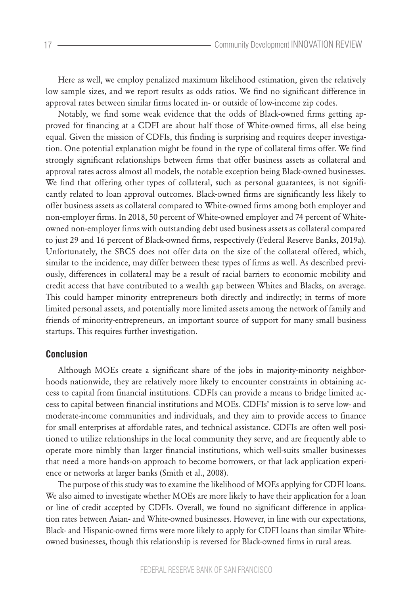Here as well, we employ penalized maximum likelihood estimation, given the relatively low sample sizes, and we report results as odds ratios. We find no significant difference in approval rates between similar firms located in- or outside of low-income zip codes.

Notably, we find some weak evidence that the odds of Black-owned firms getting approved for financing at a CDFI are about half those of White-owned firms, all else being equal. Given the mission of CDFIs, this finding is surprising and requires deeper investigation. One potential explanation might be found in the type of collateral firms offer. We find strongly significant relationships between firms that offer business assets as collateral and approval rates across almost all models, the notable exception being Black-owned businesses. We find that offering other types of collateral, such as personal guarantees, is not significantly related to loan approval outcomes. Black-owned firms are significantly less likely to offer business assets as collateral compared to White-owned firms among both employer and non-employer firms. In 2018, 50 percent of White-owned employer and 74 percent of Whiteowned non-employer firms with outstanding debt used business assets as collateral compared to just 29 and 16 percent of Black-owned firms, respectively (Federal Reserve Banks, 2019a). Unfortunately, the SBCS does not offer data on the size of the collateral offered, which, similar to the incidence, may differ between these types of firms as well. As described previously, differences in collateral may be a result of racial barriers to economic mobility and credit access that have contributed to a wealth gap between Whites and Blacks, on average. This could hamper minority entrepreneurs both directly and indirectly; in terms of more limited personal assets, and potentially more limited assets among the network of family and friends of minority-entrepreneurs, an important source of support for many small business startups. This requires further investigation.

## **Conclusion**

Although MOEs create a significant share of the jobs in majority-minority neighborhoods nationwide, they are relatively more likely to encounter constraints in obtaining access to capital from financial institutions. CDFIs can provide a means to bridge limited access to capital between financial institutions and MOEs. CDFIs' mission is to serve low- and moderate-income communities and individuals, and they aim to provide access to finance for small enterprises at affordable rates, and technical assistance. CDFIs are often well positioned to utilize relationships in the local community they serve, and are frequently able to operate more nimbly than larger financial institutions, which well-suits smaller businesses that need a more hands-on approach to become borrowers, or that lack application experience or networks at larger banks (Smith et al., 2008).

The purpose of this study was to examine the likelihood of MOEs applying for CDFI loans. We also aimed to investigate whether MOEs are more likely to have their application for a loan or line of credit accepted by CDFIs. Overall, we found no significant difference in application rates between Asian- and White-owned businesses. However, in line with our expectations, Black- and Hispanic-owned firms were more likely to apply for CDFI loans than similar Whiteowned businesses, though this relationship is reversed for Black-owned firms in rural areas.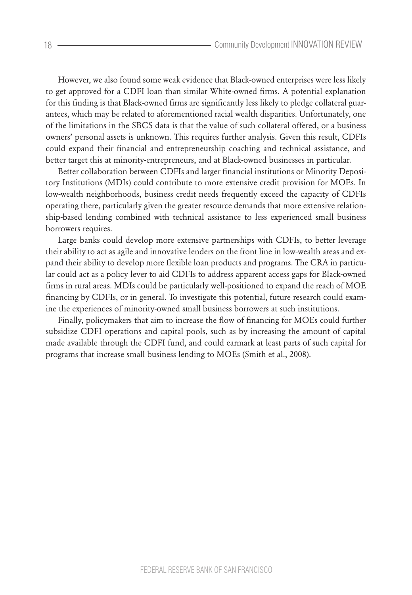However, we also found some weak evidence that Black-owned enterprises were less likely to get approved for a CDFI loan than similar White-owned firms. A potential explanation for this finding is that Black-owned firms are significantly less likely to pledge collateral guarantees, which may be related to aforementioned racial wealth disparities. Unfortunately, one of the limitations in the SBCS data is that the value of such collateral offered, or a business owners' personal assets is unknown. This requires further analysis. Given this result, CDFIs could expand their financial and entrepreneurship coaching and technical assistance, and better target this at minority-entrepreneurs, and at Black-owned businesses in particular.

Better collaboration between CDFIs and larger financial institutions or Minority Depository Institutions (MDIs) could contribute to more extensive credit provision for MOEs. In low-wealth neighborhoods, business credit needs frequently exceed the capacity of CDFIs operating there, particularly given the greater resource demands that more extensive relationship-based lending combined with technical assistance to less experienced small business borrowers requires.

Large banks could develop more extensive partnerships with CDFIs, to better leverage their ability to act as agile and innovative lenders on the front line in low-wealth areas and expand their ability to develop more flexible loan products and programs. The CRA in particular could act as a policy lever to aid CDFIs to address apparent access gaps for Black-owned firms in rural areas. MDIs could be particularly well-positioned to expand the reach of MOE financing by CDFIs, or in general. To investigate this potential, future research could examine the experiences of minority-owned small business borrowers at such institutions.

Finally, policymakers that aim to increase the flow of financing for MOEs could further subsidize CDFI operations and capital pools, such as by increasing the amount of capital made available through the CDFI fund, and could earmark at least parts of such capital for programs that increase small business lending to MOEs (Smith et al., 2008).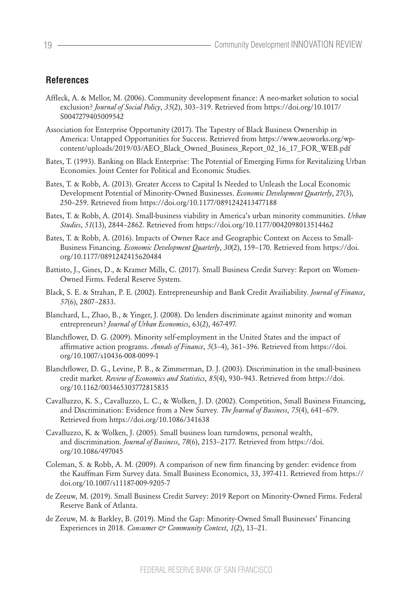# **References**

- Affleck, A. & Mellor, M. (2006). Community development finance: A neo-market solution to social exclusion? *Journal of Social Policy*, *35*(2), 303–319. Retrieved from https://doi.org/10.1017/ S0047279405009542
- Association for Enterprise Opportunity (2017). The Tapestry of Black Business Ownership in America: Untapped Opportunities for Success. Retrieved from https://www.aeoworks.org/wpcontent/uploads/2019/03/AEO\_Black\_Owned\_Business\_Report\_02\_16\_17\_FOR\_WEB.pdf
- Bates, T. (1993). Banking on Black Enterprise: The Potential of Emerging Firms for Revitalizing Urban Economies. Joint Center for Political and Economic Studies.
- Bates, T. & Robb, A. (2013). Greater Access to Capital Is Needed to Unleash the Local Economic Development Potential of Minority-Owned Businesses. *Economic Development Quarterly*, 27(3), 250–259. Retrieved from https://doi.org/10.1177/0891242413477188
- Bates, T. & Robb, A. (2014). Small-business viability in America's urban minority communities. *Urban Studies*, *51*(13), 2844–2862. Retrieved from https://doi.org/10.1177/0042098013514462
- Bates, T. & Robb, A. (2016). Impacts of Owner Race and Geographic Context on Access to Small-Business Financing. *Economic Development Quarterly*, *30*(2), 159–170. Retrieved from https://doi. org/10.1177/0891242415620484
- Battisto, J., Gines, D., & Kramer Mills, C. (2017). Small Business Credit Survey: Report on Women-Owned Firms. Federal Reserve System.
- Black, S. E. & Strahan, P. E. (2002). Entrepreneurship and Bank Credit Availiability. *Journal of Finance*, *57*(6), 2807–2833.
- Blanchard, L., Zhao, B., & Yinger, J. (2008). Do lenders discriminate against minority and woman entrepreneurs? *Journal of Urban Economics*, 63(2), 467-497.
- Blanchflower, D. G. (2009). Minority self-employment in the United States and the impact of affirmative action programs. *Annals of Finance*, *5*(3–4), 361–396. Retrieved from https://doi. org/10.1007/s10436-008-0099-1
- Blanchflower, D. G., Levine, P. B., & Zimmerman, D. J. (2003). Discrimination in the small-business credit market. *Review of Economics and Statistics*, *85*(4), 930–943. Retrieved from https://doi. org/10.1162/003465303772815835
- Cavalluzzo, K. S., Cavalluzzo, L. C., & Wolken, J. D. (2002). Competition, Small Business Financing, and Discrimination: Evidence from a New Survey. *The Journal of Business*, *75*(4), 641–679. Retrieved from https://doi.org/10.1086/341638
- Cavalluzzo, K. & Wolken, J. (2005). Small business loan turndowns, personal wealth, and discrimination. *Journal of Business*, *78*(6), 2153–2177. Retrieved from https://doi. org/10.1086/497045
- Coleman, S. & Robb, A. M. (2009). A comparison of new firm financing by gender: evidence from the Kauffman Firm Survey data. Small Business Economics, 33, 397-411. Retrieved from https:// doi.org/10.1007/s11187-009-9205-7
- de Zeeuw, M. (2019). Small Business Credit Survey: 2019 Report on Minority-Owned Firms. Federal Reserve Bank of Atlanta.
- de Zeeuw, M. & Barkley, B. (2019). Mind the Gap: Minority-Owned Small Businesses' Financing Experiences in 2018. *Consumer & Community Context*, *1*(2), 13–21.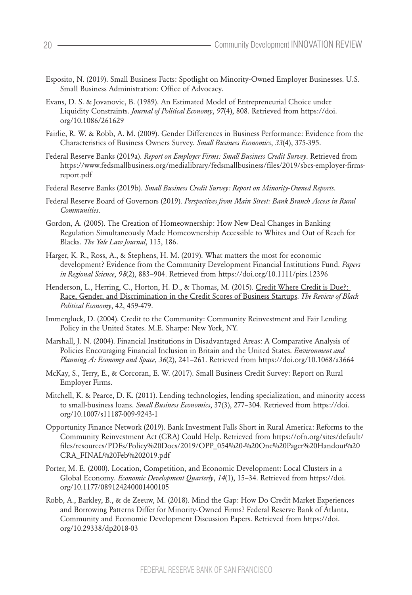- Esposito, N. (2019). Small Business Facts: Spotlight on Minority-Owned Employer Businesses. U.S. Small Business Administration: Office of Advocacy.
- Evans, D. S. & Jovanovic, B. (1989). An Estimated Model of Entrepreneurial Choice under Liquidity Constraints. *Journal of Political Economy*, *97*(4), 808. Retrieved from https://doi. org/10.1086/261629
- Fairlie, R. W. & Robb, A. M. (2009). Gender Differences in Business Performance: Evidence from the Characteristics of Business Owners Survey. *Small Business Economics*, *33*(4), 375-395.
- Federal Reserve Banks (2019a). *Report on Employer Firms: Small Business Credit Survey*. Retrieved from https://www.fedsmallbusiness.org/medialibrary/fedsmallbusiness/files/2019/sbcs-employer-firmsreport.pdf
- Federal Reserve Banks (2019b). *Small Business Credit Survey: Report on Minority-Owned Reports*.
- Federal Reserve Board of Governors (2019). *Perspectives from Main Street: Bank Branch Access in Rural Communities*.
- Gordon, A. (2005). The Creation of Homeownership: How New Deal Changes in Banking Regulation Simultaneously Made Homeownership Accessible to Whites and Out of Reach for Blacks. *The Yale Law Journal*, 115, 186.
- Harger, K. R., Ross, A., & Stephens, H. M. (2019). What matters the most for economic development? Evidence from the Community Development Financial Institutions Fund. *Papers in Regional Science*, *98*(2), 883–904. Retrieved from https://doi.org/10.1111/pirs.12396
- Henderson, L., Herring, C., Horton, H. D., & Thomas, M. (2015). Credit Where Credit is Due?: Race, Gender, and Discrimination in the Credit Scores of Business Startups. *The Review of Black Political Economy*, 42, 459-479.
- Immergluck, D. (2004). Credit to the Community: Community Reinvestment and Fair Lending Policy in the United States. M.E. Sharpe: New York, NY.
- Marshall, J. N. (2004). Financial Institutions in Disadvantaged Areas: A Comparative Analysis of Policies Encouraging Financial Inclusion in Britain and the United States. *Environment and Planning A: Economy and Space*, *36*(2), 241–261. Retrieved from https://doi.org/10.1068/a3664
- McKay, S., Terry, E., & Corcoran, E. W. (2017). Small Business Credit Survey: Report on Rural Employer Firms.
- Mitchell, K. & Pearce, D. K. (2011). Lending technologies, lending specialization, and minority access to small-business loans. *Small Business Economics*, 37(3), 277–304. Retrieved from https://doi. org/10.1007/s11187-009-9243-1
- Opportunity Finance Network (2019). Bank Investment Falls Short in Rural America: Reforms to the Community Reinvestment Act (CRA) Could Help. Retrieved from https://ofn.org/sites/default/ files/resources/PDFs/Policy%20Docs/2019/OPP\_054%20-%20One%20Pager%20Handout%20 CRA\_FINAL%20Feb%202019.pdf
- Porter, M. E. (2000). Location, Competition, and Economic Development: Local Clusters in a Global Economy. *Economic Development Quarterly*, *14*(1), 15–34. Retrieved from https://doi. org/10.1177/089124240001400105
- Robb, A., Barkley, B., & de Zeeuw, M. (2018). Mind the Gap: How Do Credit Market Experiences and Borrowing Patterns Differ for Minority-Owned Firms? Federal Reserve Bank of Atlanta, Community and Economic Development Discussion Papers. Retrieved from https://doi. org/10.29338/dp2018-03